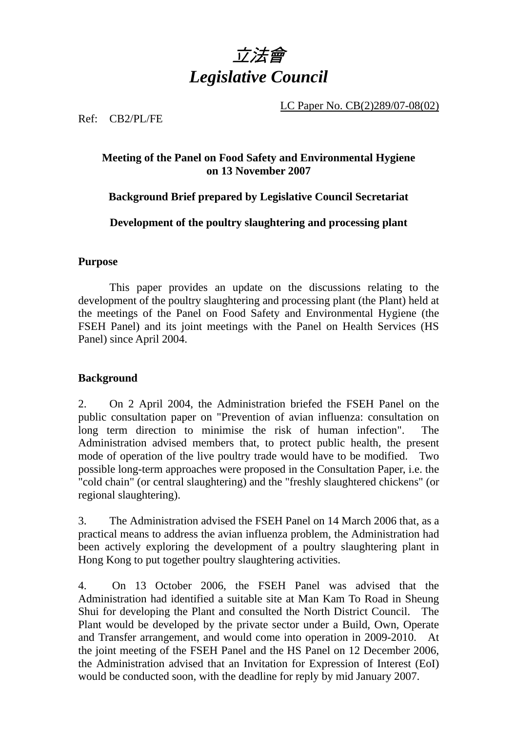

LC Paper No. CB(2)289/07-08(02)

Ref: CB2/PL/FE

### **Meeting of the Panel on Food Safety and Environmental Hygiene on 13 November 2007**

### **Background Brief prepared by Legislative Council Secretariat**

**Development of the poultry slaughtering and processing plant** 

#### **Purpose**

This paper provides an update on the discussions relating to the development of the poultry slaughtering and processing plant (the Plant) held at the meetings of the Panel on Food Safety and Environmental Hygiene (the FSEH Panel) and its joint meetings with the Panel on Health Services (HS Panel) since April 2004.

#### **Background**

2. On 2 April 2004, the Administration briefed the FSEH Panel on the public consultation paper on "Prevention of avian influenza: consultation on long term direction to minimise the risk of human infection". The Administration advised members that, to protect public health, the present mode of operation of the live poultry trade would have to be modified. Two possible long-term approaches were proposed in the Consultation Paper, i.e. the "cold chain" (or central slaughtering) and the "freshly slaughtered chickens" (or regional slaughtering).

3. The Administration advised the FSEH Panel on 14 March 2006 that, as a practical means to address the avian influenza problem, the Administration had been actively exploring the development of a poultry slaughtering plant in Hong Kong to put together poultry slaughtering activities.

4. On 13 October 2006, the FSEH Panel was advised that the Administration had identified a suitable site at Man Kam To Road in Sheung Shui for developing the Plant and consulted the North District Council. The Plant would be developed by the private sector under a Build, Own, Operate and Transfer arrangement, and would come into operation in 2009-2010. At the joint meeting of the FSEH Panel and the HS Panel on 12 December 2006, the Administration advised that an Invitation for Expression of Interest (EoI) would be conducted soon, with the deadline for reply by mid January 2007.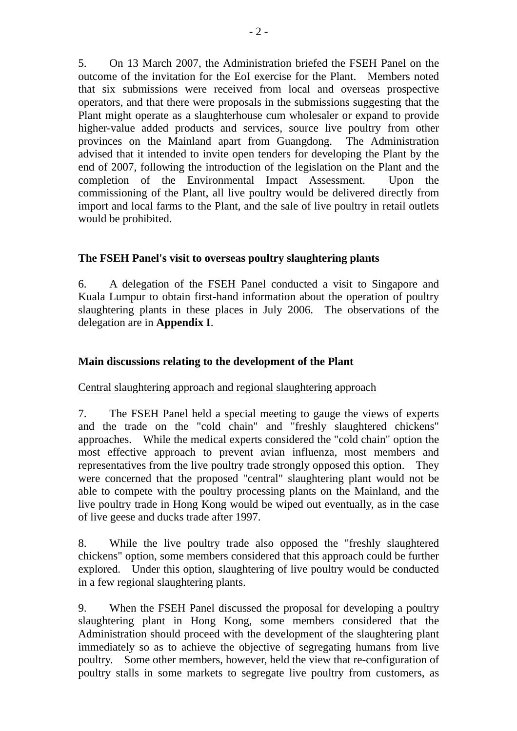5. On 13 March 2007, the Administration briefed the FSEH Panel on the outcome of the invitation for the EoI exercise for the Plant. Members noted that six submissions were received from local and overseas prospective operators, and that there were proposals in the submissions suggesting that the Plant might operate as a slaughterhouse cum wholesaler or expand to provide higher-value added products and services, source live poultry from other provinces on the Mainland apart from Guangdong. The Administration advised that it intended to invite open tenders for developing the Plant by the end of 2007, following the introduction of the legislation on the Plant and the completion of the Environmental Impact Assessment. Upon the commissioning of the Plant, all live poultry would be delivered directly from import and local farms to the Plant, and the sale of live poultry in retail outlets would be prohibited.

#### **The FSEH Panel's visit to overseas poultry slaughtering plants**

6. A delegation of the FSEH Panel conducted a visit to Singapore and Kuala Lumpur to obtain first-hand information about the operation of poultry slaughtering plants in these places in July 2006. The observations of the delegation are in **Appendix I**.

## **Main discussions relating to the development of the Plant**

#### Central slaughtering approach and regional slaughtering approach

7. The FSEH Panel held a special meeting to gauge the views of experts and the trade on the "cold chain" and "freshly slaughtered chickens" approaches. While the medical experts considered the "cold chain" option the most effective approach to prevent avian influenza, most members and representatives from the live poultry trade strongly opposed this option. They were concerned that the proposed "central" slaughtering plant would not be able to compete with the poultry processing plants on the Mainland, and the live poultry trade in Hong Kong would be wiped out eventually, as in the case of live geese and ducks trade after 1997.

8. While the live poultry trade also opposed the "freshly slaughtered chickens" option, some members considered that this approach could be further explored. Under this option, slaughtering of live poultry would be conducted in a few regional slaughtering plants.

9. When the FSEH Panel discussed the proposal for developing a poultry slaughtering plant in Hong Kong, some members considered that the Administration should proceed with the development of the slaughtering plant immediately so as to achieve the objective of segregating humans from live poultry. Some other members, however, held the view that re-configuration of poultry stalls in some markets to segregate live poultry from customers, as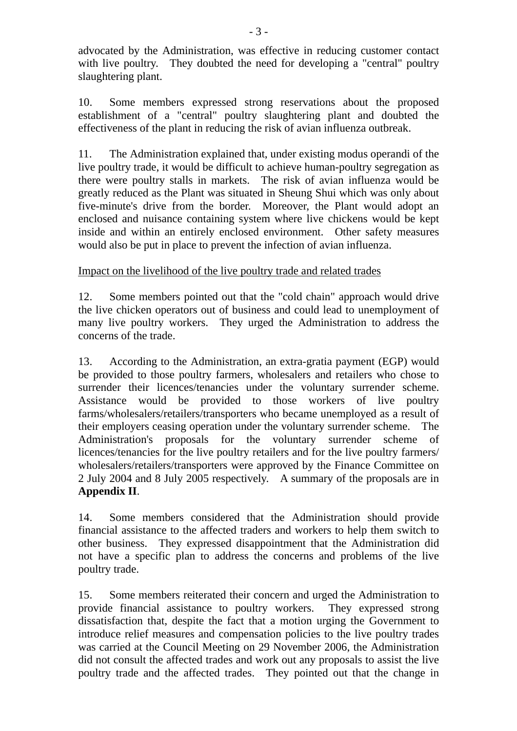advocated by the Administration, was effective in reducing customer contact with live poultry. They doubted the need for developing a "central" poultry slaughtering plant.

10. Some members expressed strong reservations about the proposed establishment of a "central" poultry slaughtering plant and doubted the effectiveness of the plant in reducing the risk of avian influenza outbreak.

11. The Administration explained that, under existing modus operandi of the live poultry trade, it would be difficult to achieve human-poultry segregation as there were poultry stalls in markets. The risk of avian influenza would be greatly reduced as the Plant was situated in Sheung Shui which was only about five-minute's drive from the border. Moreover, the Plant would adopt an enclosed and nuisance containing system where live chickens would be kept inside and within an entirely enclosed environment. Other safety measures would also be put in place to prevent the infection of avian influenza.

## Impact on the livelihood of the live poultry trade and related trades

12. Some members pointed out that the "cold chain" approach would drive the live chicken operators out of business and could lead to unemployment of many live poultry workers. They urged the Administration to address the concerns of the trade.

13. According to the Administration, an extra-gratia payment (EGP) would be provided to those poultry farmers, wholesalers and retailers who chose to surrender their licences/tenancies under the voluntary surrender scheme. Assistance would be provided to those workers of live poultry farms/wholesalers/retailers/transporters who became unemployed as a result of their employers ceasing operation under the voluntary surrender scheme. The Administration's proposals for the voluntary surrender scheme of licences/tenancies for the live poultry retailers and for the live poultry farmers/ wholesalers/retailers/transporters were approved by the Finance Committee on 2 July 2004 and 8 July 2005 respectively. A summary of the proposals are in **Appendix II**.

14. Some members considered that the Administration should provide financial assistance to the affected traders and workers to help them switch to other business. They expressed disappointment that the Administration did not have a specific plan to address the concerns and problems of the live poultry trade.

15. Some members reiterated their concern and urged the Administration to provide financial assistance to poultry workers. They expressed strong dissatisfaction that, despite the fact that a motion urging the Government to introduce relief measures and compensation policies to the live poultry trades was carried at the Council Meeting on 29 November 2006, the Administration did not consult the affected trades and work out any proposals to assist the live poultry trade and the affected trades. They pointed out that the change in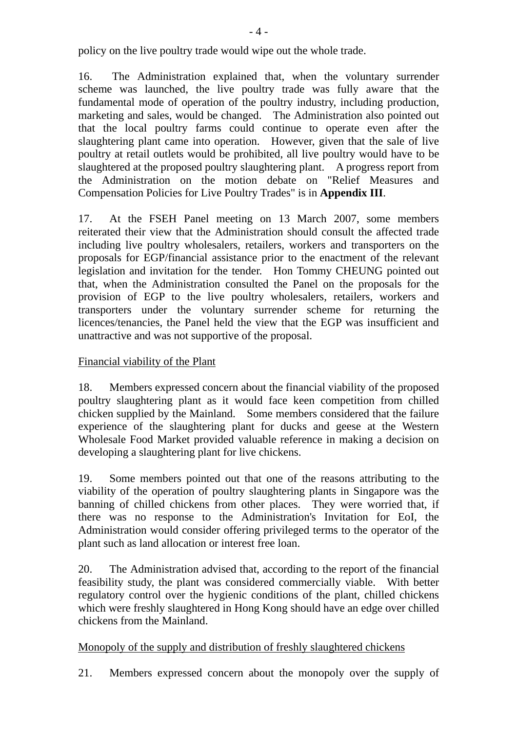policy on the live poultry trade would wipe out the whole trade.

16. The Administration explained that, when the voluntary surrender scheme was launched, the live poultry trade was fully aware that the fundamental mode of operation of the poultry industry, including production, marketing and sales, would be changed. The Administration also pointed out that the local poultry farms could continue to operate even after the slaughtering plant came into operation. However, given that the sale of live poultry at retail outlets would be prohibited, all live poultry would have to be slaughtered at the proposed poultry slaughtering plant. A progress report from the Administration on the motion debate on "Relief Measures and Compensation Policies for Live Poultry Trades" is in **Appendix III**.

17. At the FSEH Panel meeting on 13 March 2007, some members reiterated their view that the Administration should consult the affected trade including live poultry wholesalers, retailers, workers and transporters on the proposals for EGP/financial assistance prior to the enactment of the relevant legislation and invitation for the tender. Hon Tommy CHEUNG pointed out that, when the Administration consulted the Panel on the proposals for the provision of EGP to the live poultry wholesalers, retailers, workers and transporters under the voluntary surrender scheme for returning the licences/tenancies, the Panel held the view that the EGP was insufficient and unattractive and was not supportive of the proposal.

### Financial viability of the Plant

18. Members expressed concern about the financial viability of the proposed poultry slaughtering plant as it would face keen competition from chilled chicken supplied by the Mainland. Some members considered that the failure experience of the slaughtering plant for ducks and geese at the Western Wholesale Food Market provided valuable reference in making a decision on developing a slaughtering plant for live chickens.

19. Some members pointed out that one of the reasons attributing to the viability of the operation of poultry slaughtering plants in Singapore was the banning of chilled chickens from other places. They were worried that, if there was no response to the Administration's Invitation for EoI, the Administration would consider offering privileged terms to the operator of the plant such as land allocation or interest free loan.

20. The Administration advised that, according to the report of the financial feasibility study, the plant was considered commercially viable. With better regulatory control over the hygienic conditions of the plant, chilled chickens which were freshly slaughtered in Hong Kong should have an edge over chilled chickens from the Mainland.

#### Monopoly of the supply and distribution of freshly slaughtered chickens

21. Members expressed concern about the monopoly over the supply of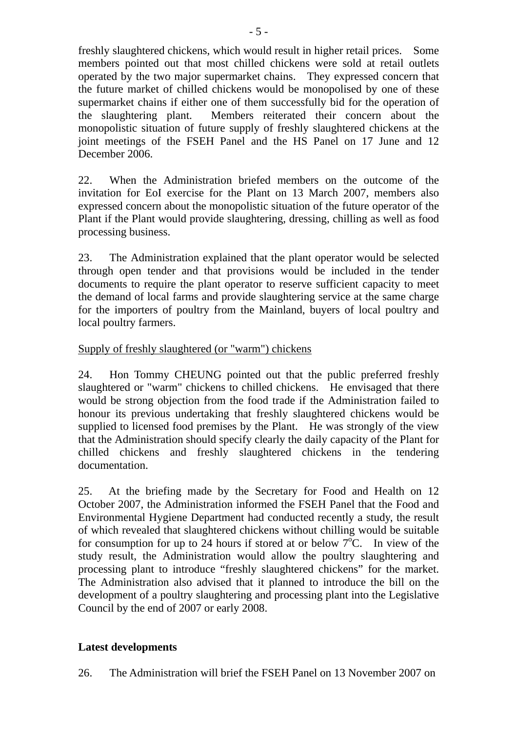freshly slaughtered chickens, which would result in higher retail prices. Some members pointed out that most chilled chickens were sold at retail outlets operated by the two major supermarket chains. They expressed concern that the future market of chilled chickens would be monopolised by one of these supermarket chains if either one of them successfully bid for the operation of the slaughtering plant. Members reiterated their concern about the monopolistic situation of future supply of freshly slaughtered chickens at the joint meetings of the FSEH Panel and the HS Panel on 17 June and 12 December 2006.

22. When the Administration briefed members on the outcome of the invitation for EoI exercise for the Plant on 13 March 2007, members also expressed concern about the monopolistic situation of the future operator of the Plant if the Plant would provide slaughtering, dressing, chilling as well as food processing business.

23. The Administration explained that the plant operator would be selected through open tender and that provisions would be included in the tender documents to require the plant operator to reserve sufficient capacity to meet the demand of local farms and provide slaughtering service at the same charge for the importers of poultry from the Mainland, buyers of local poultry and local poultry farmers.

### Supply of freshly slaughtered (or "warm") chickens

24. Hon Tommy CHEUNG pointed out that the public preferred freshly slaughtered or "warm" chickens to chilled chickens. He envisaged that there would be strong objection from the food trade if the Administration failed to honour its previous undertaking that freshly slaughtered chickens would be supplied to licensed food premises by the Plant. He was strongly of the view that the Administration should specify clearly the daily capacity of the Plant for chilled chickens and freshly slaughtered chickens in the tendering documentation.

25. At the briefing made by the Secretary for Food and Health on 12 October 2007, the Administration informed the FSEH Panel that the Food and Environmental Hygiene Department had conducted recently a study, the result of which revealed that slaughtered chickens without chilling would be suitable for consumption for up to 24 hours if stored at or below  $7^{\circ}$ C. In view of the study result, the Administration would allow the poultry slaughtering and processing plant to introduce "freshly slaughtered chickens" for the market. The Administration also advised that it planned to introduce the bill on the development of a poultry slaughtering and processing plant into the Legislative Council by the end of 2007 or early 2008.

#### **Latest developments**

26. The Administration will brief the FSEH Panel on 13 November 2007 on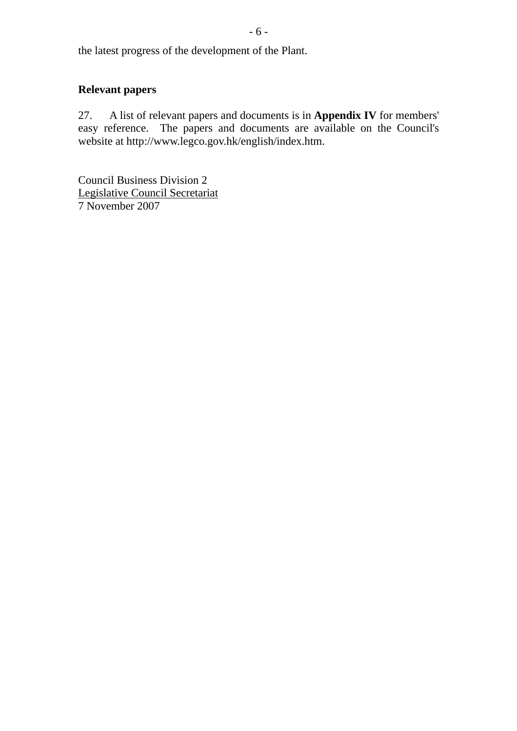the latest progress of the development of the Plant.

## **Relevant papers**

27. A list of relevant papers and documents is in **Appendix IV** for members' easy reference. The papers and documents are available on the Council's website at http://www.legco.gov.hk/english/index.htm.

Council Business Division 2 Legislative Council Secretariat 7 November 2007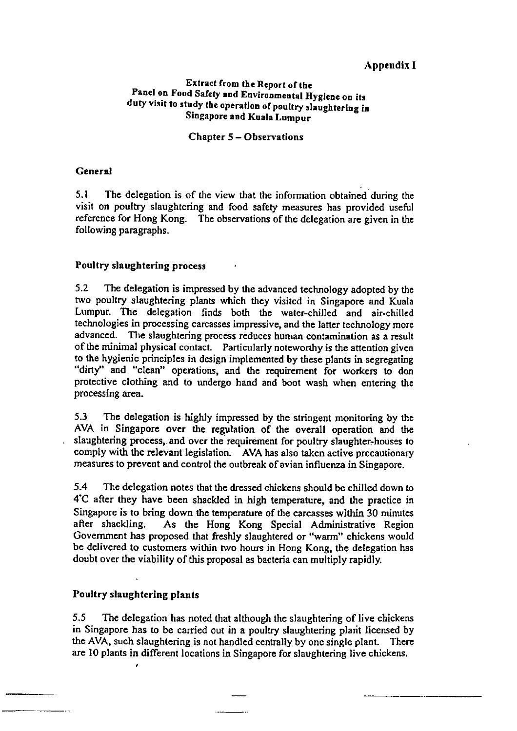#### Appendix I

#### Extract from the Report of the Panel on Food Safety and Environmental Hygiene on its duty visit to study the operation of poultry slaughtering in Singapore and Kuala Lumpur

#### **Chapter 5 – Observations**

#### **General**

 $5.1$ The delegation is of the view that the information obtained during the visit on poultry slaughtering and food safety measures has provided useful reference for Hong Kong. The observations of the delegation are given in the following paragraphs.

#### Poultry slaughtering process

 $5.2$ The delegation is impressed by the advanced technology adopted by the two poultry slaughtering plants which they visited in Singapore and Kuala Lumpur. The delegation finds both the water-chilled and air-chilled technologies in processing carcasses impressive, and the latter technology more advanced. The slaughtering process reduces human contamination as a result of the minimal physical contact. Particularly noteworthy is the attention given to the hygienic principles in design implemented by these plants in segregating "dirty" and "clean" operations, and the requirement for workers to don protective clothing and to undergo hand and boot wash when entering the processing area.

 $5.3$ The delegation is highly impressed by the stringent monitoring by the AVA in Singapore over the regulation of the overall operation and the slaughtering process, and over the requirement for poultry slaughter-houses to comply with the relevant legislation. AVA has also taken active precautionary measures to prevent and control the outbreak of avian influenza in Singapore.

5.4 The delegation notes that the dressed chickens should be chilled down to 4°C after they have been shackled in high temperature, and the practice in Singapore is to bring down the temperature of the carcasses within 30 minutes after shackling. As the Hong Kong Special Administrative Region Government has proposed that freshly slaughtered or "warm" chickens would be delivered to customers within two hours in Hong Kong, the delegation has doubt over the viability of this proposal as bacteria can multiply rapidly.

#### Poultry slaughtering plants

 $5.5$ The delegation has noted that although the slaughtering of live chickens in Singapore has to be carried out in a poultry slaughtering plant licensed by the AVA, such slaughtering is not handled centrally by one single plant. There are 10 plants in different locations in Singapore for slaughtering live chickens.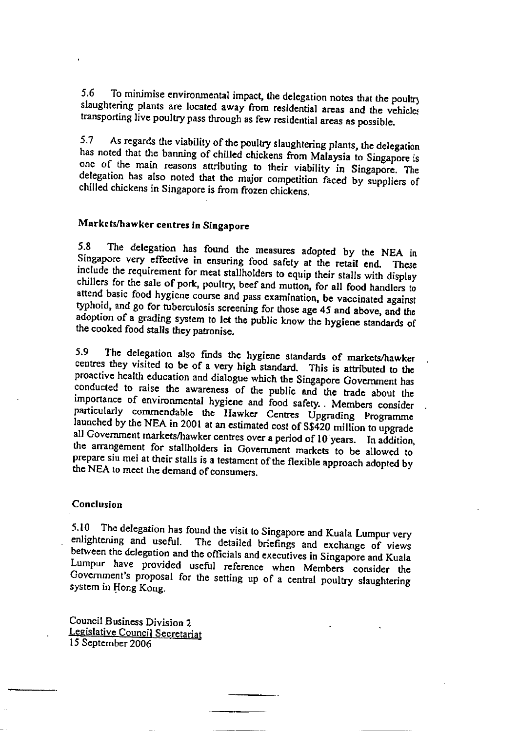To minimise environmental impact, the delegation notes that the poultry  $5.6$ slaughtering plants are located away from residential areas and the vehicles transporting live poultry pass through as few residential areas as possible.

As regards the viability of the poultry slaughtering plants, the delegation  $5.7$ has noted that the banning of chilled chickens from Malaysia to Singapore is one of the main reasons attributing to their viability in Singapore. The delegation has also noted that the major competition faced by suppliers of chilled chickens in Singapore is from frozen chickens.

#### Markets/hawker centres in Singapore

The delegation has found the measures adopted by the NEA in 5.8 Singapore very effective in ensuring food safety at the retail end. These include the requirement for meat stallholders to equip their stalls with display chillers for the sale of pork, poultry, beef and mutton, for all food handlers to attend basic food hygiene course and pass examination, be vaccinated against typhoid, and go for tuberculosis screening for those age 45 and above, and the adoption of a grading system to let the public know the hygiene standards of the cooked food stalls they patronise.

The delegation also finds the hygiene standards of markets/hawker 5.9 centres they visited to be of a very high standard. This is attributed to the proactive health education and dialogue which the Singapore Government has conducted to raise the awareness of the public and the trade about the importance of environmental hygiene and food safety. Members consider particularly commendable the Hawker Centres Upgrading Programme launched by the NEA in 2001 at an estimated cost of S\$420 million to upgrade all Government markets/hawker centres over a period of 10 years. In addition, the arrangement for stallholders in Government markets to be allowed to prepare siu mei at their stalls is a testament of the flexible approach adopted by the NEA to meet the demand of consumers.

#### **Conclusion**

5.10 The delegation has found the visit to Singapore and Kuala Lumpur very enlightening and useful. The detailed briefings and exchange of views between the delegation and the officials and executives in Singapore and Kuala Lumpur have provided useful reference when Members consider the Government's proposal for the setting up of a central poultry slaughtering system in Hong Kong.

Council Business Division 2 Legislative Council Secretariat 15 September 2006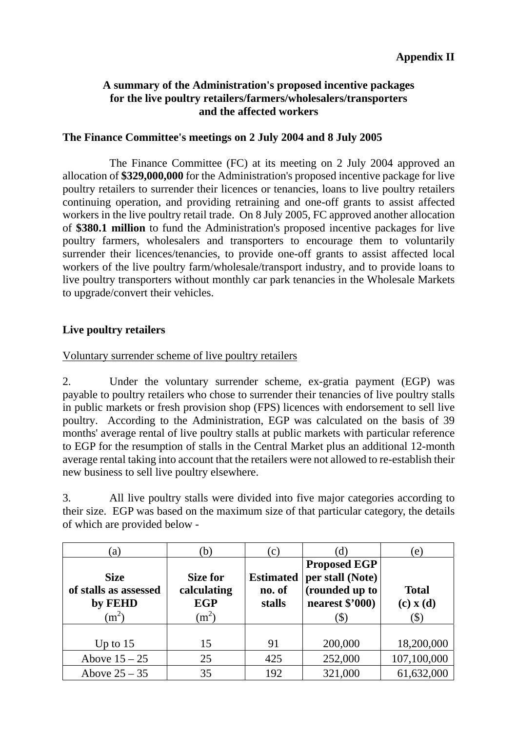#### **A summary of the Administration's proposed incentive packages for the live poultry retailers/farmers/wholesalers/transporters and the affected workers**

#### **The Finance Committee's meetings on 2 July 2004 and 8 July 2005**

 The Finance Committee (FC) at its meeting on 2 July 2004 approved an allocation of **\$329,000,000** for the Administration's proposed incentive package for live poultry retailers to surrender their licences or tenancies, loans to live poultry retailers continuing operation, and providing retraining and one-off grants to assist affected workers in the live poultry retail trade. On 8 July 2005, FC approved another allocation of **\$380.1 million** to fund the Administration's proposed incentive packages for live poultry farmers, wholesalers and transporters to encourage them to voluntarily surrender their licences/tenancies, to provide one-off grants to assist affected local workers of the live poultry farm/wholesale/transport industry, and to provide loans to live poultry transporters without monthly car park tenancies in the Wholesale Markets to upgrade/convert their vehicles.

#### **Live poultry retailers**

#### Voluntary surrender scheme of live poultry retailers

2. Under the voluntary surrender scheme, ex-gratia payment (EGP) was payable to poultry retailers who chose to surrender their tenancies of live poultry stalls in public markets or fresh provision shop (FPS) licences with endorsement to sell live poultry. According to the Administration, EGP was calculated on the basis of 39 months' average rental of live poultry stalls at public markets with particular reference to EGP for the resumption of stalls in the Central Market plus an additional 12-month average rental taking into account that the retailers were not allowed to re-establish their new business to sell live poultry elsewhere.

3. All live poultry stalls were divided into five major categories according to their size. EGP was based on the maximum size of that particular category, the details of which are provided below -

| $\left( a\right)$                                          | $\mathbf b$                                      | (c)                                  | d)                                                                                                        | (e)                                  |
|------------------------------------------------------------|--------------------------------------------------|--------------------------------------|-----------------------------------------------------------------------------------------------------------|--------------------------------------|
| <b>Size</b><br>of stalls as assessed<br>by FEHD<br>$(m^2)$ | Size for<br>calculating<br><b>EGP</b><br>$(m^2)$ | <b>Estimated</b><br>no. of<br>stalls | <b>Proposed EGP</b><br>per stall (Note)<br>(rounded up to<br>nearest \$'000)<br>$\left( \text{\$}\right)$ | <b>Total</b><br>$(c)$ x $(d)$<br>\$) |
| Up to $15$<br>Above $15 - 25$                              | 15<br>25                                         | 91<br>425                            | 200,000<br>252,000                                                                                        | 18,200,000<br>107,100,000            |
| Above $25 - 35$                                            | 35                                               | 192                                  | 321,000                                                                                                   | 61,632,000                           |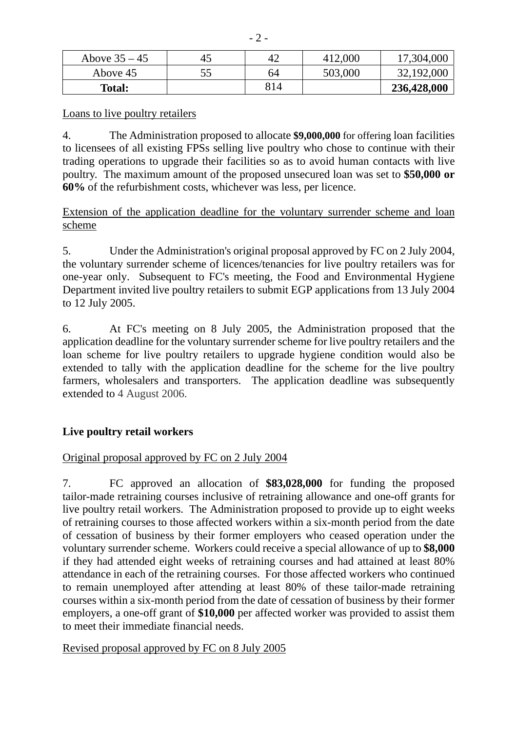| Above $35 - 45$ | 45 | 42  | 412,000 | 17,304,000  |
|-----------------|----|-----|---------|-------------|
| Above 45        |    | 64  | 503,000 | 32,192,000  |
| <b>Total:</b>   |    | 814 |         | 236,428,000 |

Loans to live poultry retailers

4. The Administration proposed to allocate **\$9,000,000** for offering loan facilities to licensees of all existing FPSs selling live poultry who chose to continue with their trading operations to upgrade their facilities so as to avoid human contacts with live poultry. The maximum amount of the proposed unsecured loan was set to **\$50,000 or 60%** of the refurbishment costs, whichever was less, per licence.

Extension of the application deadline for the voluntary surrender scheme and loan scheme

5. Under the Administration's original proposal approved by FC on 2 July 2004, the voluntary surrender scheme of licences/tenancies for live poultry retailers was for one-year only. Subsequent to FC's meeting, the Food and Environmental Hygiene Department invited live poultry retailers to submit EGP applications from 13 July 2004 to 12 July 2005.

6. At FC's meeting on 8 July 2005, the Administration proposed that the application deadline for the voluntary surrender scheme for live poultry retailers and the loan scheme for live poultry retailers to upgrade hygiene condition would also be extended to tally with the application deadline for the scheme for the live poultry farmers, wholesalers and transporters. The application deadline was subsequently extended to 4 August 2006.

## **Live poultry retail workers**

## Original proposal approved by FC on 2 July 2004

7. FC approved an allocation of **\$83,028,000** for funding the proposed tailor-made retraining courses inclusive of retraining allowance and one-off grants for live poultry retail workers. The Administration proposed to provide up to eight weeks of retraining courses to those affected workers within a six-month period from the date of cessation of business by their former employers who ceased operation under the voluntary surrender scheme. Workers could receive a special allowance of up to **\$8,000** if they had attended eight weeks of retraining courses and had attained at least 80% attendance in each of the retraining courses. For those affected workers who continued to remain unemployed after attending at least 80% of these tailor-made retraining courses within a six-month period from the date of cessation of business by their former employers, a one-off grant of **\$10,000** per affected worker was provided to assist them to meet their immediate financial needs.

#### Revised proposal approved by FC on 8 July 2005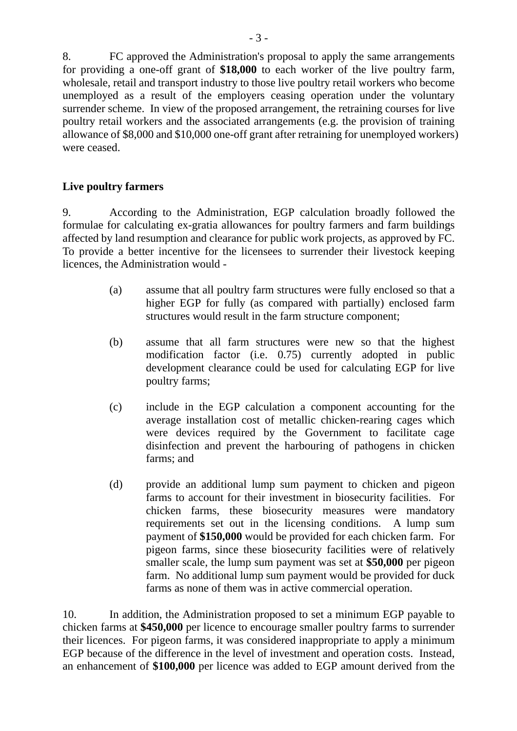8. FC approved the Administration's proposal to apply the same arrangements for providing a one-off grant of **\$18,000** to each worker of the live poultry farm, wholesale, retail and transport industry to those live poultry retail workers who become unemployed as a result of the employers ceasing operation under the voluntary surrender scheme. In view of the proposed arrangement, the retraining courses for live poultry retail workers and the associated arrangements (e.g. the provision of training allowance of \$8,000 and \$10,000 one-off grant after retraining for unemployed workers) were ceased.

### **Live poultry farmers**

9. According to the Administration, EGP calculation broadly followed the formulae for calculating ex-gratia allowances for poultry farmers and farm buildings affected by land resumption and clearance for public work projects, as approved by FC. To provide a better incentive for the licensees to surrender their livestock keeping licences, the Administration would -

- (a) assume that all poultry farm structures were fully enclosed so that a higher EGP for fully (as compared with partially) enclosed farm structures would result in the farm structure component;
- (b) assume that all farm structures were new so that the highest modification factor (i.e. 0.75) currently adopted in public development clearance could be used for calculating EGP for live poultry farms;
- (c) include in the EGP calculation a component accounting for the average installation cost of metallic chicken-rearing cages which were devices required by the Government to facilitate cage disinfection and prevent the harbouring of pathogens in chicken farms; and
- (d) provide an additional lump sum payment to chicken and pigeon farms to account for their investment in biosecurity facilities. For chicken farms, these biosecurity measures were mandatory requirements set out in the licensing conditions. A lump sum payment of **\$150,000** would be provided for each chicken farm. For pigeon farms, since these biosecurity facilities were of relatively smaller scale, the lump sum payment was set at **\$50,000** per pigeon farm. No additional lump sum payment would be provided for duck farms as none of them was in active commercial operation.

10. In addition, the Administration proposed to set a minimum EGP payable to chicken farms at **\$450,000** per licence to encourage smaller poultry farms to surrender their licences. For pigeon farms, it was considered inappropriate to apply a minimum EGP because of the difference in the level of investment and operation costs. Instead, an enhancement of **\$100,000** per licence was added to EGP amount derived from the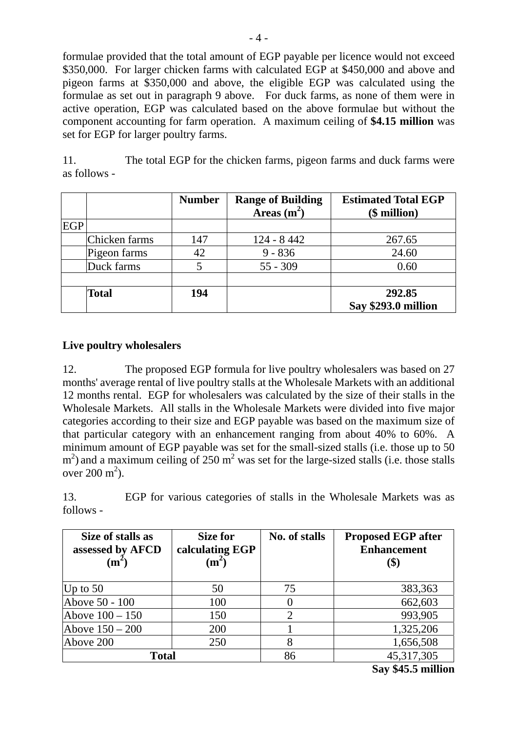formulae provided that the total amount of EGP payable per licence would not exceed \$350,000. For larger chicken farms with calculated EGP at \$450,000 and above and pigeon farms at \$350,000 and above, the eligible EGP was calculated using the formulae as set out in paragraph 9 above. For duck farms, as none of them were in active operation, EGP was calculated based on the above formulae but without the component accounting for farm operation. A maximum ceiling of **\$4.15 million** was set for EGP for larger poultry farms.

11. The total EGP for the chicken farms, pigeon farms and duck farms were as follows -

|            |               | <b>Number</b> | <b>Range of Building</b><br>Areas $(m^2)$ | <b>Estimated Total EGP</b><br>$$$ million) |
|------------|---------------|---------------|-------------------------------------------|--------------------------------------------|
| <b>EGP</b> |               |               |                                           |                                            |
|            | Chicken farms | 147           | 124 - 8 442                               | 267.65                                     |
|            | Pigeon farms  | 42            | $9 - 836$                                 | 24.60                                      |
|            | Duck farms    |               | $55 - 309$                                | 0.60                                       |
|            |               |               |                                           |                                            |
|            | <b>Total</b>  | 194           |                                           | 292.85                                     |
|            |               |               |                                           | Say \$293.0 million                        |

#### **Live poultry wholesalers**

12. The proposed EGP formula for live poultry wholesalers was based on 27 months' average rental of live poultry stalls at the Wholesale Markets with an additional 12 months rental. EGP for wholesalers was calculated by the size of their stalls in the Wholesale Markets. All stalls in the Wholesale Markets were divided into five major categories according to their size and EGP payable was based on the maximum size of that particular category with an enhancement ranging from about 40% to 60%. A minimum amount of EGP payable was set for the small-sized stalls (i.e. those up to 50  $\text{m}^2$ ) and a maximum ceiling of 250 m<sup>2</sup> was set for the large-sized stalls (i.e. those stalls over  $200 \text{ m}^2$ ).

13. EGP for various categories of stalls in the Wholesale Markets was as follows -

| Size of stalls as<br>assessed by AFCD<br>$(m^2)$ | Size for<br>calculating EGP<br>(m <sup>2</sup> ) | No. of stalls | <b>Proposed EGP after</b><br><b>Enhancement</b> |
|--------------------------------------------------|--------------------------------------------------|---------------|-------------------------------------------------|
| Up to $50$                                       | 50                                               | 75            | 383,363                                         |
| Above 50 - 100                                   | 100                                              |               | 662,603                                         |
| Above $100 - 150$                                | 150                                              |               | 993,905                                         |
| Above $150 - 200$                                | 200                                              |               | 1,325,206                                       |
| Above 200                                        | 250                                              | 8             | 1,656,508                                       |
| <b>Total</b>                                     |                                                  | 86            | 45,317,305                                      |

**Say \$45.5 million**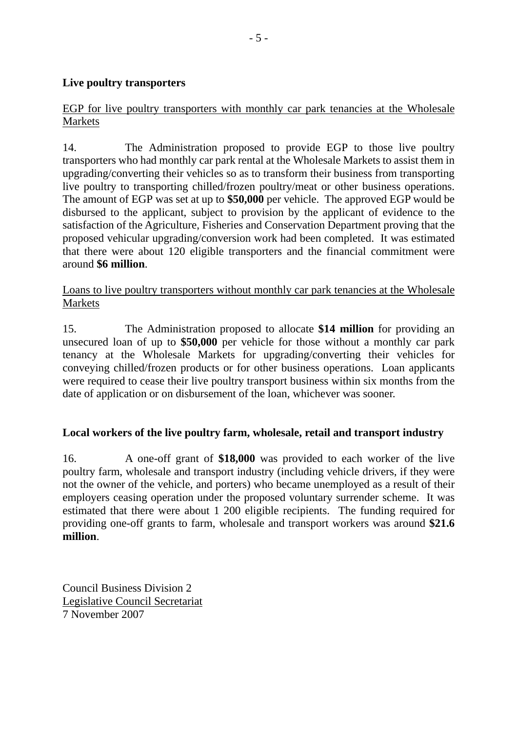#### **Live poultry transporters**

### EGP for live poultry transporters with monthly car park tenancies at the Wholesale Markets

14. The Administration proposed to provide EGP to those live poultry transporters who had monthly car park rental at the Wholesale Markets to assist them in upgrading/converting their vehicles so as to transform their business from transporting live poultry to transporting chilled/frozen poultry/meat or other business operations. The amount of EGP was set at up to **\$50,000** per vehicle. The approved EGP would be disbursed to the applicant, subject to provision by the applicant of evidence to the satisfaction of the Agriculture, Fisheries and Conservation Department proving that the proposed vehicular upgrading/conversion work had been completed. It was estimated that there were about 120 eligible transporters and the financial commitment were around **\$6 million**.

Loans to live poultry transporters without monthly car park tenancies at the Wholesale Markets

15. The Administration proposed to allocate **\$14 million** for providing an unsecured loan of up to **\$50,000** per vehicle for those without a monthly car park tenancy at the Wholesale Markets for upgrading/converting their vehicles for conveying chilled/frozen products or for other business operations. Loan applicants were required to cease their live poultry transport business within six months from the date of application or on disbursement of the loan, whichever was sooner.

#### **Local workers of the live poultry farm, wholesale, retail and transport industry**

16. A one-off grant of **\$18,000** was provided to each worker of the live poultry farm, wholesale and transport industry (including vehicle drivers, if they were not the owner of the vehicle, and porters) who became unemployed as a result of their employers ceasing operation under the proposed voluntary surrender scheme. It was estimated that there were about 1 200 eligible recipients. The funding required for providing one-off grants to farm, wholesale and transport workers was around **\$21.6 million**.

Council Business Division 2 Legislative Council Secretariat 7 November 2007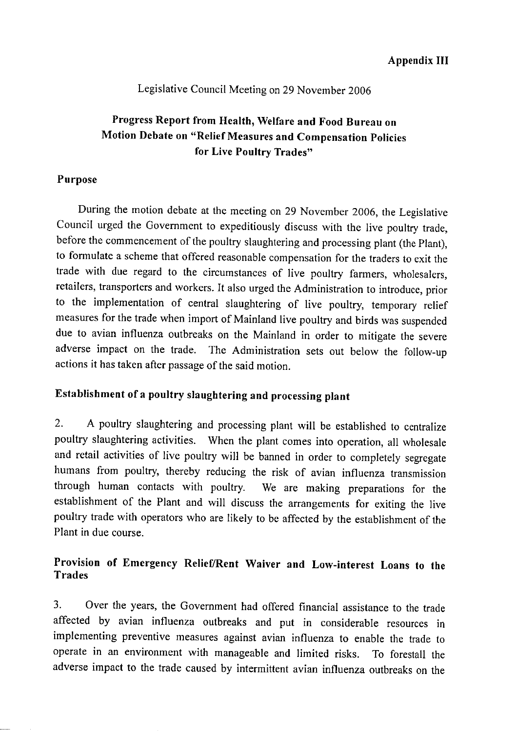#### Legislative Council Meeting on 29 November 2006

# Progress Report from Health, Welfare and Food Bureau on Motion Debate on "Relief Measures and Compensation Policies for Live Poultry Trades"

#### Purpose

During the motion debate at the meeting on 29 November 2006, the Legislative Council urged the Government to expeditiously discuss with the live poultry trade, before the commencement of the poultry slaughtering and processing plant (the Plant), to formulate a scheme that offered reasonable compensation for the traders to exit the trade with due regard to the circumstances of live poultry farmers, wholesalers, retailers, transporters and workers. It also urged the Administration to introduce, prior to the implementation of central slaughtering of live poultry, temporary relief measures for the trade when import of Mainland live poultry and birds was suspended due to avian influenza outbreaks on the Mainland in order to mitigate the severe adverse impact on the trade. The Administration sets out below the follow-up actions it has taken after passage of the said motion.

## Establishment of a poultry slaughtering and processing plant

A poultry slaughtering and processing plant will be established to centralize  $2.$ poultry slaughtering activities. When the plant comes into operation, all wholesale and retail activities of live poultry will be banned in order to completely segregate humans from poultry, thereby reducing the risk of avian influenza transmission through human contacts with poultry. We are making preparations for the establishment of the Plant and will discuss the arrangements for exiting the live poultry trade with operators who are likely to be affected by the establishment of the Plant in due course.

## Provision of Emergency Relief/Rent Waiver and Low-interest Loans to the **Trades**

 $\mathbf{3}$ Over the years, the Government had offered financial assistance to the trade affected by avian influenza outbreaks and put in considerable resources in implementing preventive measures against avian influenza to enable the trade to operate in an environment with manageable and limited risks. To forestall the adverse impact to the trade caused by intermittent avian influenza outbreaks on the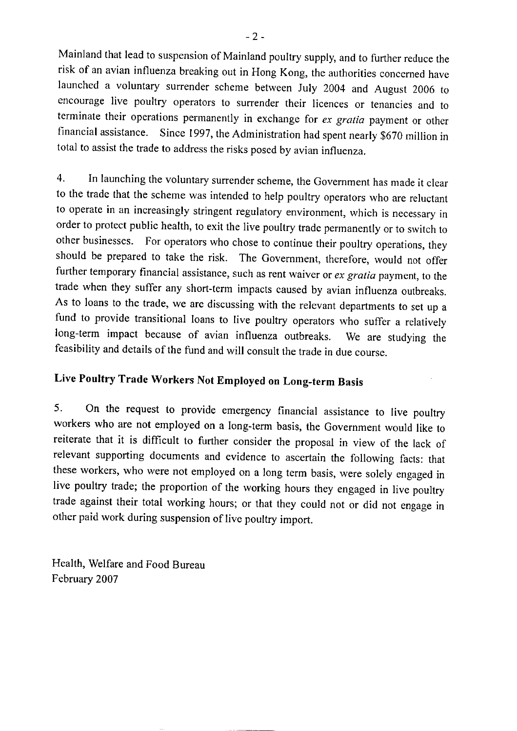Mainland that lead to suspension of Mainland poultry supply, and to further reduce the risk of an avian influenza breaking out in Hong Kong, the authorities concerned have launched a voluntary surrender scheme between July 2004 and August 2006 to encourage live poultry operators to surrender their licences or tenancies and to terminate their operations permanently in exchange for ex gratia payment or other financial assistance. Since 1997, the Administration had spent nearly \$670 million in total to assist the trade to address the risks posed by avian influenza.

In launching the voluntary surrender scheme, the Government has made it clear  $\overline{4}$ . to the trade that the scheme was intended to help poultry operators who are reluctant to operate in an increasingly stringent regulatory environment, which is necessary in order to protect public health, to exit the live poultry trade permanently or to switch to other businesses. For operators who chose to continue their poultry operations, they should be prepared to take the risk. The Government, therefore, would not offer further temporary financial assistance, such as rent waiver or ex gratia payment, to the trade when they suffer any short-term impacts caused by avian influenza outbreaks. As to loans to the trade, we are discussing with the relevant departments to set up a fund to provide transitional loans to live poultry operators who suffer a relatively long-term impact because of avian influenza outbreaks. We are studying the feasibility and details of the fund and will consult the trade in due course.

# Live Poultry Trade Workers Not Employed on Long-term Basis

 $5.$ On the request to provide emergency financial assistance to live poultry workers who are not employed on a long-term basis, the Government would like to reiterate that it is difficult to further consider the proposal in view of the lack of relevant supporting documents and evidence to ascertain the following facts: that these workers, who were not employed on a long term basis, were solely engaged in live poultry trade; the proportion of the working hours they engaged in live poultry trade against their total working hours; or that they could not or did not engage in other paid work during suspension of live poultry import.

Health, Welfare and Food Bureau February 2007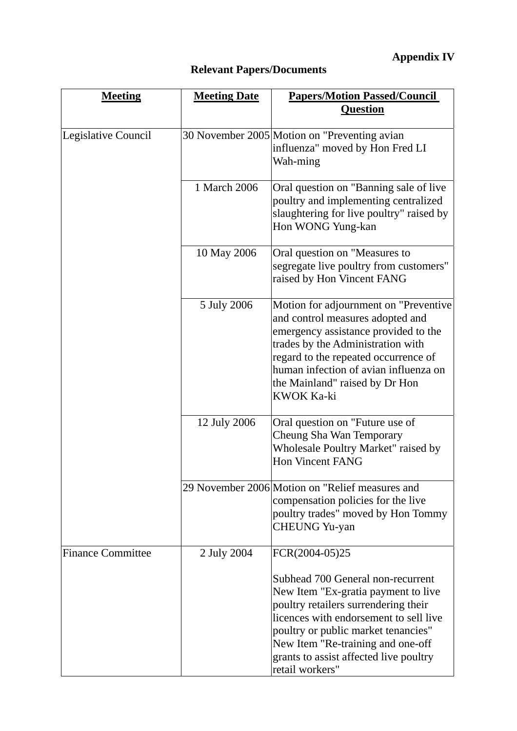# **Relevant Papers/Documents**

| <b>Meeting</b>           | <b>Meeting Date</b> | <b>Papers/Motion Passed/Council</b>                                                                                                                                                                                                                                                                                   |
|--------------------------|---------------------|-----------------------------------------------------------------------------------------------------------------------------------------------------------------------------------------------------------------------------------------------------------------------------------------------------------------------|
|                          |                     | <b>Question</b>                                                                                                                                                                                                                                                                                                       |
| Legislative Council      |                     | 30 November 2005 Motion on "Preventing avian<br>influenza" moved by Hon Fred LI<br>Wah-ming                                                                                                                                                                                                                           |
|                          | 1 March 2006        | Oral question on "Banning sale of live"<br>poultry and implementing centralized<br>slaughtering for live poultry" raised by<br>Hon WONG Yung-kan                                                                                                                                                                      |
|                          | 10 May 2006         | Oral question on "Measures to<br>segregate live poultry from customers"<br>raised by Hon Vincent FANG                                                                                                                                                                                                                 |
|                          | 5 July 2006         | Motion for adjournment on "Preventive<br>and control measures adopted and<br>emergency assistance provided to the<br>trades by the Administration with<br>regard to the repeated occurrence of<br>human infection of avian influenza on<br>the Mainland" raised by Dr Hon<br>KWOK Ka-ki                               |
|                          | 12 July 2006        | Oral question on "Future use of<br>Cheung Sha Wan Temporary<br>Wholesale Poultry Market" raised by<br><b>Hon Vincent FANG</b>                                                                                                                                                                                         |
|                          |                     | 29 November 2006 Motion on "Relief measures and<br>compensation policies for the live<br>poultry trades" moved by Hon Tommy<br><b>CHEUNG</b> Yu-yan                                                                                                                                                                   |
| <b>Finance Committee</b> | 2 July 2004         | FCR(2004-05)25<br>Subhead 700 General non-recurrent<br>New Item "Ex-gratia payment to live<br>poultry retailers surrendering their<br>licences with endorsement to sell live<br>poultry or public market tenancies"<br>New Item "Re-training and one-off<br>grants to assist affected live poultry<br>retail workers" |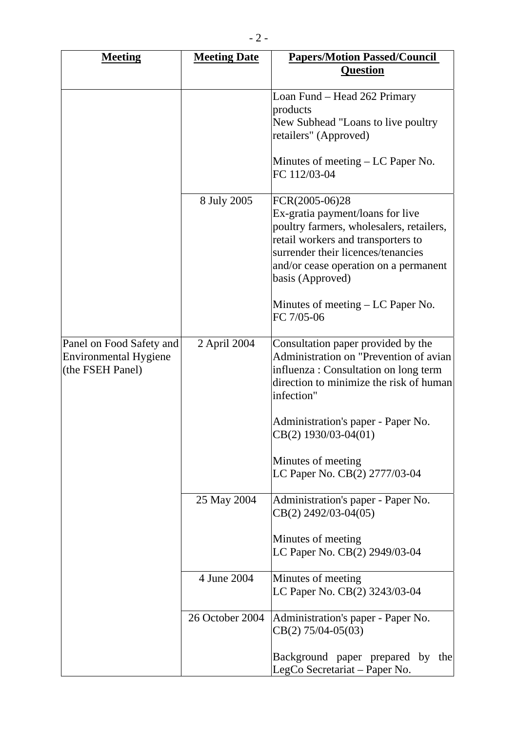| <b>Meeting</b>                                                        | <b>Meeting Date</b> | <b>Papers/Motion Passed/Council</b>                                                                                                                                                                                                                                                                 |
|-----------------------------------------------------------------------|---------------------|-----------------------------------------------------------------------------------------------------------------------------------------------------------------------------------------------------------------------------------------------------------------------------------------------------|
|                                                                       |                     | <b>Question</b>                                                                                                                                                                                                                                                                                     |
|                                                                       |                     | Loan Fund – Head 262 Primary<br>products<br>New Subhead "Loans to live poultry<br>retailers" (Approved)<br>Minutes of meeting $- LC$ Paper No.<br>FC 112/03-04                                                                                                                                      |
|                                                                       | 8 July 2005         | FCR(2005-06)28<br>Ex-gratia payment/loans for live<br>poultry farmers, wholesalers, retailers,<br>retail workers and transporters to<br>surrender their licences/tenancies<br>and/or cease operation on a permanent<br>basis (Approved)<br>Minutes of meeting $- LC$ Paper No.<br>FC 7/05-06        |
| Panel on Food Safety and<br>Environmental Hygiene<br>(the FSEH Panel) | 2 April 2004        | Consultation paper provided by the<br>Administration on "Prevention of avian<br>influenza : Consultation on long term<br>direction to minimize the risk of human<br>infection"<br>Administration's paper - Paper No.<br>CB(2) 1930/03-04(01)<br>Minutes of meeting<br>LC Paper No. CB(2) 2777/03-04 |
|                                                                       | 25 May 2004         | Administration's paper - Paper No.<br>$CB(2)$ 2492/03-04(05)<br>Minutes of meeting<br>LC Paper No. CB(2) 2949/03-04                                                                                                                                                                                 |
|                                                                       | 4 June 2004         | Minutes of meeting<br>LC Paper No. CB(2) 3243/03-04                                                                                                                                                                                                                                                 |
|                                                                       | 26 October 2004     | Administration's paper - Paper No.<br>$CB(2) 75/04-05(03)$                                                                                                                                                                                                                                          |
|                                                                       |                     | Background paper prepared by the<br>LegCo Secretariat – Paper No.                                                                                                                                                                                                                                   |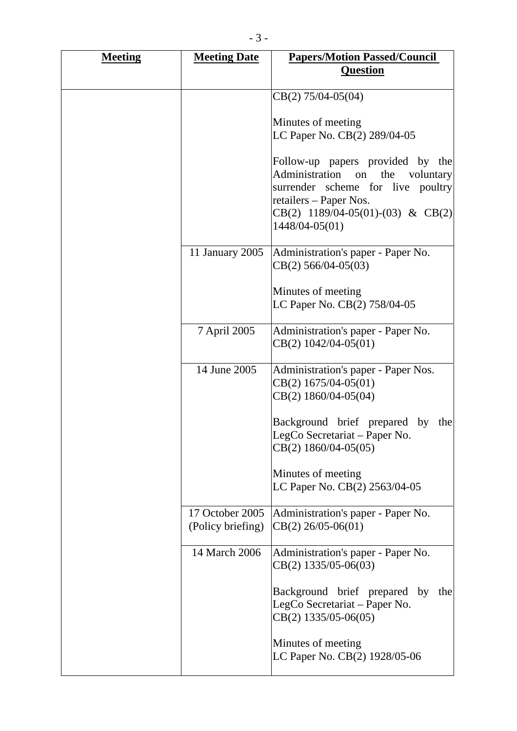| <b>Meeting</b> | <b>Meeting Date</b>                  | <b>Papers/Motion Passed/Council</b><br><b>Question</b>                                                                                                                                               |
|----------------|--------------------------------------|------------------------------------------------------------------------------------------------------------------------------------------------------------------------------------------------------|
|                |                                      |                                                                                                                                                                                                      |
|                |                                      | $CB(2) 75/04-05(04)$                                                                                                                                                                                 |
|                |                                      | Minutes of meeting                                                                                                                                                                                   |
|                |                                      | LC Paper No. CB(2) 289/04-05                                                                                                                                                                         |
|                |                                      | Follow-up papers provided by the<br>Administration<br>the<br>on<br>voluntary<br>surrender scheme for live poultry<br>retailers – Paper Nos.<br>$CB(2)$ 1189/04-05(01)-(03) & CB(2)<br>1448/04-05(01) |
|                | 11 January 2005                      | Administration's paper - Paper No.<br>$CB(2)$ 566/04-05(03)                                                                                                                                          |
|                |                                      | Minutes of meeting<br>LC Paper No. CB(2) 758/04-05                                                                                                                                                   |
|                | 7 April 2005                         | Administration's paper - Paper No.<br>$CB(2)$ 1042/04-05(01)                                                                                                                                         |
|                | 14 June 2005                         | Administration's paper - Paper Nos.<br>$CB(2)$ 1675/04-05(01)<br>$CB(2)$ 1860/04-05(04)                                                                                                              |
|                |                                      | Background brief prepared by<br>the<br>LegCo Secretariat – Paper No.<br>$CB(2)$ 1860/04-05(05)                                                                                                       |
|                |                                      | Minutes of meeting<br>LC Paper No. CB(2) 2563/04-05                                                                                                                                                  |
|                | 17 October 2005<br>(Policy briefing) | Administration's paper - Paper No.<br>$CB(2)$ 26/05-06(01)                                                                                                                                           |
|                | 14 March 2006                        | Administration's paper - Paper No.<br>$CB(2)$ 1335/05-06(03)                                                                                                                                         |
|                |                                      | Background brief prepared by<br>the<br>LegCo Secretariat - Paper No.<br>$CB(2)$ 1335/05-06(05)                                                                                                       |
|                |                                      | Minutes of meeting<br>LC Paper No. CB(2) 1928/05-06                                                                                                                                                  |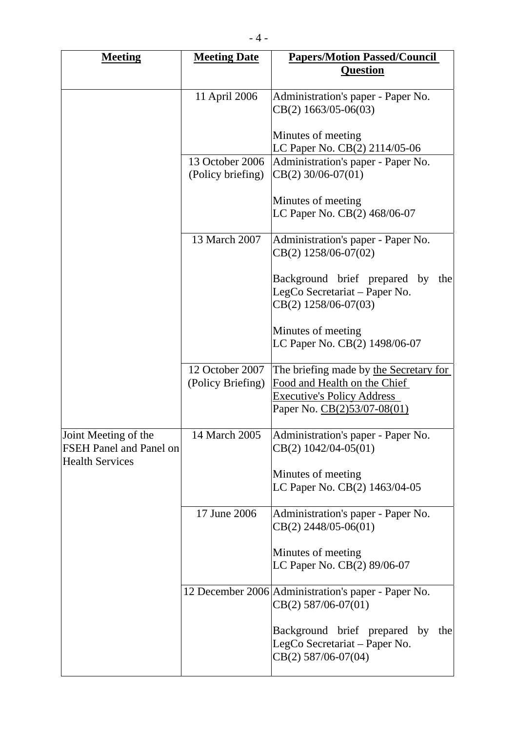| <b>Meeting</b>                                                                   | <b>Meeting Date</b>                  | <b>Papers/Motion Passed/Council</b><br><b>Question</b>                                                                                     |
|----------------------------------------------------------------------------------|--------------------------------------|--------------------------------------------------------------------------------------------------------------------------------------------|
|                                                                                  | 11 April 2006                        | Administration's paper - Paper No.<br>CB(2) 1663/05-06(03)                                                                                 |
|                                                                                  |                                      | Minutes of meeting<br>LC Paper No. CB(2) 2114/05-06                                                                                        |
|                                                                                  | 13 October 2006<br>(Policy briefing) | Administration's paper - Paper No.<br>$CB(2)$ 30/06-07(01)                                                                                 |
|                                                                                  |                                      | Minutes of meeting<br>LC Paper No. CB(2) 468/06-07                                                                                         |
|                                                                                  | 13 March 2007                        | Administration's paper - Paper No.<br>CB(2) 1258/06-07(02)                                                                                 |
|                                                                                  |                                      | Background brief prepared<br>by<br>the<br>LegCo Secretariat – Paper No.<br>CB(2) 1258/06-07(03)                                            |
|                                                                                  |                                      | Minutes of meeting<br>LC Paper No. CB(2) 1498/06-07                                                                                        |
|                                                                                  | 12 October 2007<br>(Policy Briefing) | The briefing made by the Secretary for<br>Food and Health on the Chief<br><b>Executive's Policy Address</b><br>Paper No. CB(2)53/07-08(01) |
| Joint Meeting of the<br><b>FSEH Panel and Panel on</b><br><b>Health Services</b> | 14 March 2005                        | Administration's paper - Paper No.<br>$CB(2) 1042/04-05(01)$                                                                               |
|                                                                                  |                                      | Minutes of meeting<br>LC Paper No. CB(2) 1463/04-05                                                                                        |
|                                                                                  | 17 June 2006                         | Administration's paper - Paper No.<br>$CB(2)$ 2448/05-06(01)                                                                               |
|                                                                                  |                                      | Minutes of meeting<br>LC Paper No. CB(2) 89/06-07                                                                                          |
|                                                                                  |                                      | 12 December 2006 Administration's paper - Paper No.<br>$CB(2)$ 587/06-07(01)                                                               |
|                                                                                  |                                      | Background brief prepared by<br>the<br>LegCo Secretariat – Paper No.<br>CB(2) 587/06-07(04)                                                |